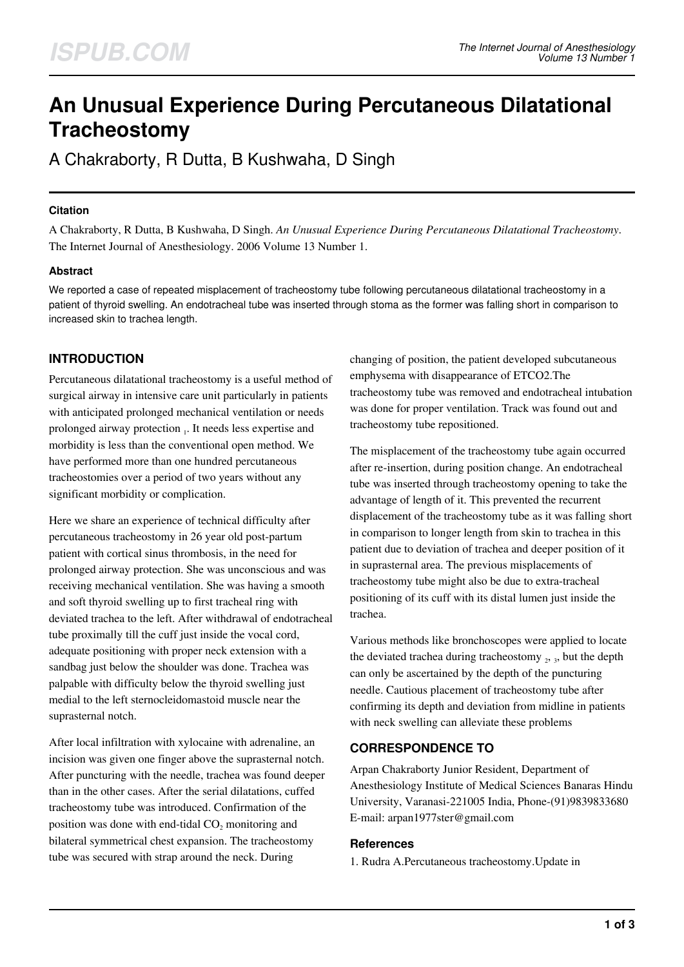# **An Unusual Experience During Percutaneous Dilatational Tracheostomy**

A Chakraborty, R Dutta, B Kushwaha, D Singh

## **Citation**

A Chakraborty, R Dutta, B Kushwaha, D Singh. *An Unusual Experience During Percutaneous Dilatational Tracheostomy*. The Internet Journal of Anesthesiology. 2006 Volume 13 Number 1.

# **Abstract**

We reported a case of repeated misplacement of tracheostomy tube following percutaneous dilatational tracheostomy in a patient of thyroid swelling. An endotracheal tube was inserted through stoma as the former was falling short in comparison to increased skin to trachea length.

# **INTRODUCTION**

Percutaneous dilatational tracheostomy is a useful method of surgical airway in intensive care unit particularly in patients with anticipated prolonged mechanical ventilation or needs prolonged airway protection 1. It needs less expertise and morbidity is less than the conventional open method. We have performed more than one hundred percutaneous tracheostomies over a period of two years without any significant morbidity or complication.

Here we share an experience of technical difficulty after percutaneous tracheostomy in 26 year old post-partum patient with cortical sinus thrombosis, in the need for prolonged airway protection. She was unconscious and was receiving mechanical ventilation. She was having a smooth and soft thyroid swelling up to first tracheal ring with deviated trachea to the left. After withdrawal of endotracheal tube proximally till the cuff just inside the vocal cord, adequate positioning with proper neck extension with a sandbag just below the shoulder was done. Trachea was palpable with difficulty below the thyroid swelling just medial to the left sternocleidomastoid muscle near the suprasternal notch.

After local infiltration with xylocaine with adrenaline, an incision was given one finger above the suprasternal notch. After puncturing with the needle, trachea was found deeper than in the other cases. After the serial dilatations, cuffed tracheostomy tube was introduced. Confirmation of the position was done with end-tidal  $CO<sub>2</sub>$  monitoring and bilateral symmetrical chest expansion. The tracheostomy tube was secured with strap around the neck. During

changing of position, the patient developed subcutaneous emphysema with disappearance of ETCO2.The tracheostomy tube was removed and endotracheal intubation was done for proper ventilation. Track was found out and tracheostomy tube repositioned.

The misplacement of the tracheostomy tube again occurred after re-insertion, during position change. An endotracheal tube was inserted through tracheostomy opening to take the advantage of length of it. This prevented the recurrent displacement of the tracheostomy tube as it was falling short in comparison to longer length from skin to trachea in this patient due to deviation of trachea and deeper position of it in suprasternal area. The previous misplacements of tracheostomy tube might also be due to extra-tracheal positioning of its cuff with its distal lumen just inside the trachea.

Various methods like bronchoscopes were applied to locate the deviated trachea during tracheostomy  $_2$ ,  $_3$ , but the depth can only be ascertained by the depth of the puncturing needle. Cautious placement of tracheostomy tube after confirming its depth and deviation from midline in patients with neck swelling can alleviate these problems

# **CORRESPONDENCE TO**

Arpan Chakraborty Junior Resident, Department of Anesthesiology Institute of Medical Sciences Banaras Hindu University, Varanasi-221005 India, Phone-(91)9839833680 E-mail: arpan1977ster@gmail.com

### **References**

1. Rudra A.Percutaneous tracheostomy.Update in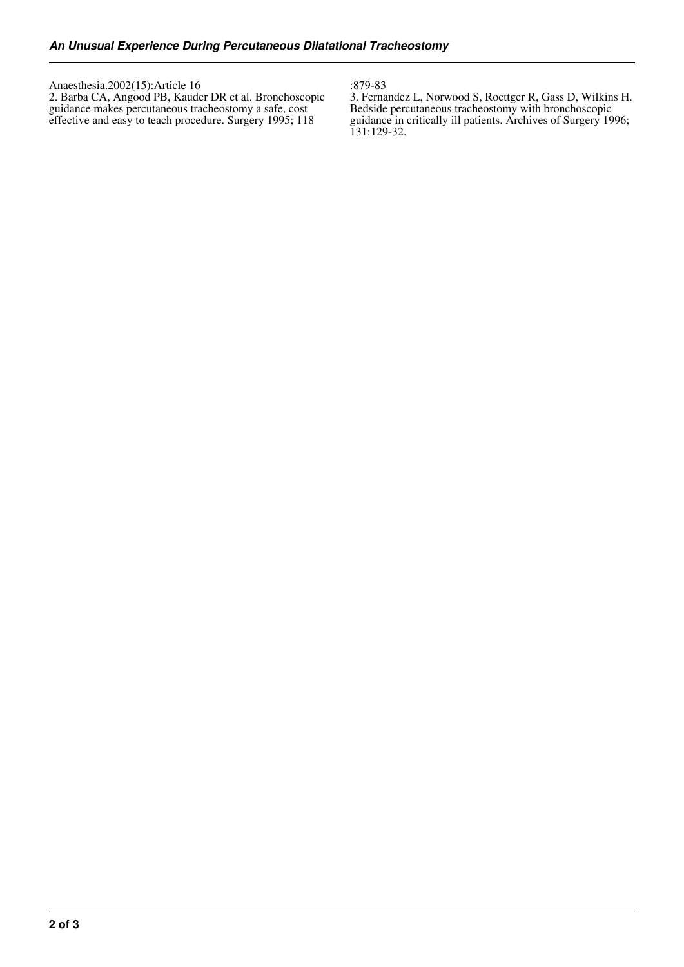Anaesthesia.2002(15):Article 16 2. Barba CA, Angood PB, Kauder DR et al. Bronchoscopic guidance makes percutaneous tracheostomy a safe, cost effective and easy to teach procedure. Surgery 1995; 118

:879-83

3. Fernandez L, Norwood S, Roettger R, Gass D, Wilkins H. Bedside percutaneous tracheostomy with bronchoscopic guidance in critically ill patients. Archives of Surgery 1996; 131:129-32.